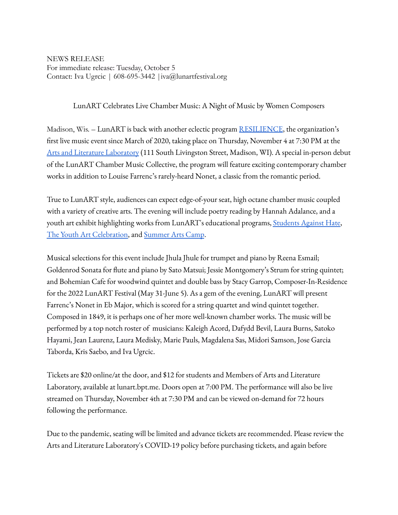NEWS RELEASE For immediate release: Tuesday, October 5 Contact: Iva Ugrcic | 608-695-3442 |iva@lunartfestival.org

LunART Celebrates Live Chamber Music: A Night of Music by Women Composers

Madison, Wis. – LunART is back with another eclectic program [RESILIENCE](https://www.lunartfestival.org/resilience), the organization's first live music event since March of 2020, taking place on Thursday, November 4 at 7:30 PM at the Arts and Literature [Laboratory](https://artlitlab.org/) (111 South Livingston Street, Madison, WI). A special in-person debut of the LunART Chamber Music Collective, the program will feature exciting contemporary chamber works in addition to Louise Farrenc's rarely-heard Nonet, a classic from the romantic period.

True to LunART style, audiences can expect edge-of-your seat, high octane chamber music coupled with a variety of creative arts. The evening will include poetry reading by Hannah Adalance, and a youth art exhibit highlighting works from LunART's educational programs, [Students](https://www.lunartfestival.org/students-against-hate) Against Hate, The Youth Art [Celebration,](https://www.lunartfestival.org/yaclive) and [Summer](https://www.lunartfestival.org/summerartscamp) Arts Camp.

Musical selections for this event include Jhula Jhule for trumpet and piano by Reena Esmail; Goldenrod Sonata for flute and piano by Sato Matsui; Jessie Montgomery's Strum for string quintet; and Bohemian Cafe for woodwind quintet and double bass by Stacy Garrop, Composer-In-Residence for the 2022 LunART Festival (May 31-June 5). As a gem of the evening, LunART will present Farrenc's Nonet in Eb Major, which is scored for a string quartet and wind quintet together. Composed in 1849, it is perhaps one of her more well-known chamber works. The music will be performed by a top notch roster of musicians: Kaleigh Acord, Dafydd Bevil, Laura Burns, Satoko Hayami, Jean Laurenz, Laura Medisky, Marie Pauls, Magdalena Sas, Midori Samson, Jose Garcia Taborda, Kris Saebo, and Iva Ugrcic.

Tickets are \$20 online/at the door, and \$12 for students and Members of Arts and Literature Laboratory, available at lunart.bpt.me. Doors open at 7:00 PM. The performance will also be live streamed on Thursday, November 4th at 7:30 PM and can be viewed on-demand for 72 hours following the performance.

Due to the pandemic, seating will be limited and advance tickets are recommended. Please review the Arts and Literature Laboratory's [COVID-19](https://artlitlab.org/covid-19-policy) policy before purchasing tickets, and again before